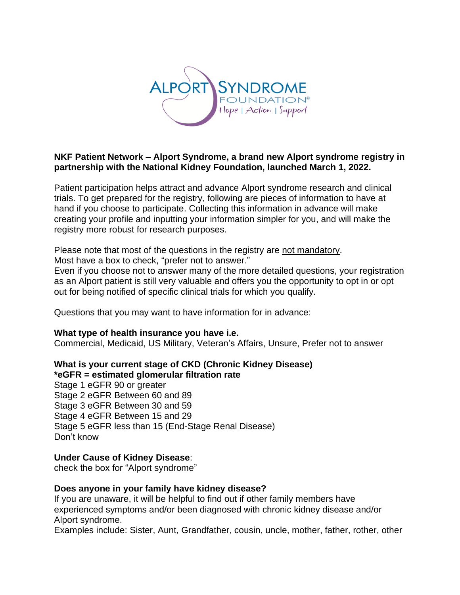

## **NKF Patient Network – Alport Syndrome, a brand new Alport syndrome registry in partnership with the National Kidney Foundation, launched March 1, 2022.**

Patient participation helps attract and advance Alport syndrome research and clinical trials. To get prepared for the registry, following are pieces of information to have at hand if you choose to participate. Collecting this information in advance will make creating your profile and inputting your information simpler for you, and will make the registry more robust for research purposes.

Please note that most of the questions in the registry are not mandatory. Most have a box to check, "prefer not to answer."

Even if you choose not to answer many of the more detailed questions, your registration as an Alport patient is still very valuable and offers you the opportunity to opt in or opt out for being notified of specific clinical trials for which you qualify.

Questions that you may want to have information for in advance:

## **What type of health insurance you have i.e.**

Commercial, Medicaid, US Military, Veteran's Affairs, Unsure, Prefer not to answer

# **What is your current stage of CKD (Chronic Kidney Disease) \*eGFR = estimated glomerular filtration rate**

Stage 1 eGFR 90 or greater Stage 2 eGFR Between 60 and 89 Stage 3 eGFR Between 30 and 59 Stage 4 eGFR Between 15 and 29 Stage 5 eGFR less than 15 (End-Stage Renal Disease) Don't know

## **Under Cause of Kidney Disease**:

check the box for "Alport syndrome"

## **Does anyone in your family have kidney disease?**

If you are unaware, it will be helpful to find out if other family members have experienced symptoms and/or been diagnosed with chronic kidney disease and/or Alport syndrome.

Examples include: Sister, Aunt, Grandfather, cousin, uncle, mother, father, rother, other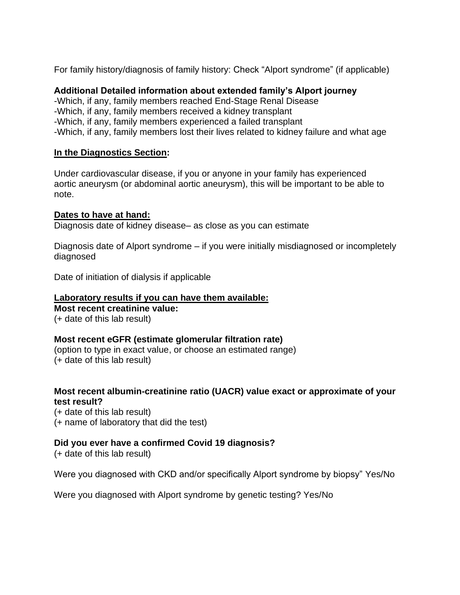For family history/diagnosis of family history: Check "Alport syndrome" (if applicable)

### **Additional Detailed information about extended family's Alport journey**

-Which, if any, family members reached End-Stage Renal Disease -Which, if any, family members received a kidney transplant -Which, if any, family members experienced a failed transplant -Which, if any, family members lost their lives related to kidney failure and what age

### **In the Diagnostics Section:**

Under cardiovascular disease, if you or anyone in your family has experienced aortic aneurysm (or abdominal aortic aneurysm), this will be important to be able to note.

### **Dates to have at hand:**

Diagnosis date of kidney disease– as close as you can estimate

Diagnosis date of Alport syndrome – if you were initially misdiagnosed or incompletely diagnosed

Date of initiation of dialysis if applicable

### **Laboratory results if you can have them available:**

**Most recent creatinine value:** (+ date of this lab result)

#### **Most recent eGFR (estimate glomerular filtration rate)**

(option to type in exact value, or choose an estimated range) (+ date of this lab result)

### **Most recent albumin-creatinine ratio (UACR) value exact or approximate of your test result?**

(+ date of this lab result) (+ name of laboratory that did the test)

## **Did you ever have a confirmed Covid 19 diagnosis?**

(+ date of this lab result)

Were you diagnosed with CKD and/or specifically Alport syndrome by biopsy" Yes/No

Were you diagnosed with Alport syndrome by genetic testing? Yes/No